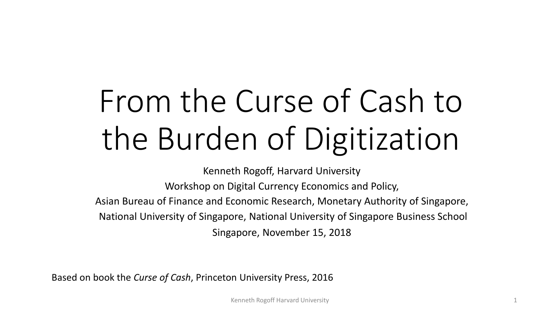# From the Curse of Cash to the Burden of Digitization

Kenneth Rogoff, Harvard University

Workshop on Digital Currency Economics and Policy,

Asian Bureau of Finance and Economic Research, Monetary Authority of Singapore, National University of Singapore, National University of Singapore Business School

Singapore, November 15, 2018

Based on book the *Curse of Cash*, Princeton University Press, 2016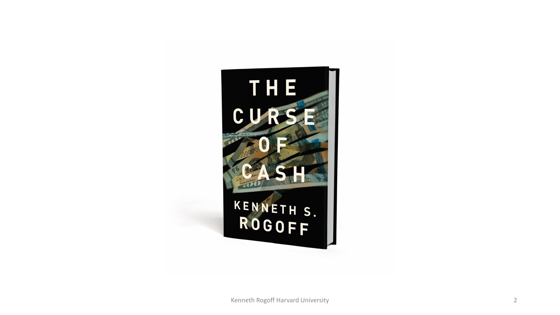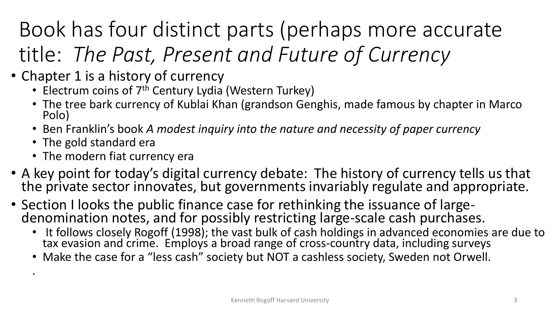### Book has four distinct parts (perhaps more accurate title: *The Past, Present and Future of Currency*

- Chapter 1 is a history of currency
	- Electrum coins of 7<sup>th</sup> Century Lydia (Western Turkey)
	- The tree bark currency of Kublai Khan (grandson Genghis, made famous by chapter in Marco Polo)
	- Ben Franklin's book *A modest inquiry into the nature and necessity of paper currency*
	- The gold standard era

.

- The modern fiat currency era
- A key point for today's digital currency debate: The history of currency tells us that the private sector innovates, but governments invariably regulate and appropriate.
- Section I looks the public finance case for rethinking the issuance of large-<br>denomination notes, and for possibly restricting large-scale cash purchases.
	- It follows closely Rogoff (1998); the vast bulk of cash holdings in advanced economies are due to tax evasion and crime. Employs a broad range of cross-country data, including surveys
	- Make the case for a "less cash" society but NOT a cashless society, Sweden not Orwell.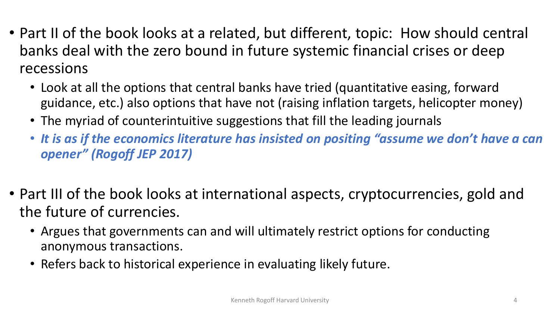- Part II of the book looks at a related, but different, topic: How should central banks deal with the zero bound in future systemic financial crises or deep recessions
	- Look at all the options that central banks have tried (quantitative easing, forward guidance, etc.) also options that have not (raising inflation targets, helicopter money)
	- The myriad of counterintuitive suggestions that fill the leading journals
	- *It is as if the economics literature has insisted on positing "assume we don't have a can opener" (Rogoff JEP 2017)*
- Part III of the book looks at international aspects, cryptocurrencies, gold and the future of currencies.
	- Argues that governments can and will ultimately restrict options for conducting anonymous transactions.
	- Refers back to historical experience in evaluating likely future.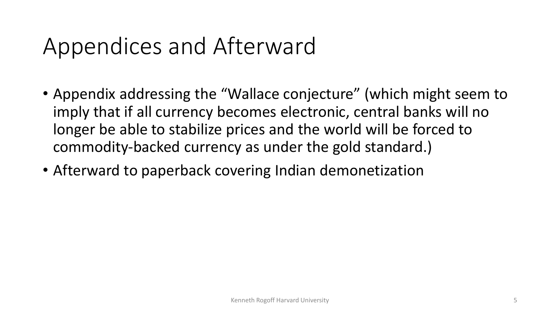### Appendices and Afterward

- Appendix addressing the "Wallace conjecture" (which might seem to imply that if all currency becomes electronic, central banks will no longer be able to stabilize prices and the world will be forced to commodity-backed currency as under the gold standard.)
- Afterward to paperback covering Indian demonetization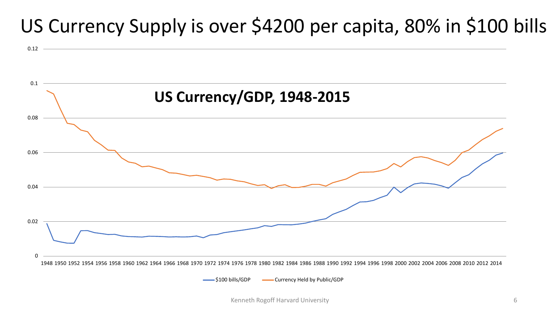### US Currency Supply is over \$4200 per capita, 80% in \$100 bills

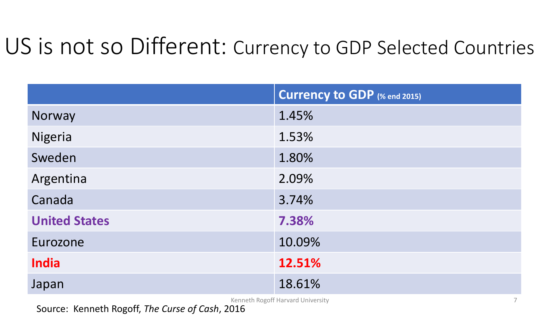### US is not so Different: Currency to GDP Selected Countries

|                      | <b>Currency to GDP (% end 2015)</b> |
|----------------------|-------------------------------------|
| Norway               | 1.45%                               |
| <b>Nigeria</b>       | 1.53%                               |
| Sweden               | 1.80%                               |
| Argentina            | 2.09%                               |
| Canada               | 3.74%                               |
| <b>United States</b> | 7.38%                               |
| Eurozone             | 10.09%                              |
| <b>India</b>         | 12.51%                              |
| Japan                | 18.61%                              |

Kenneth Rogoff Harvard University 7

Source: Kenneth Rogoff, *The Curse of Cash*, 2016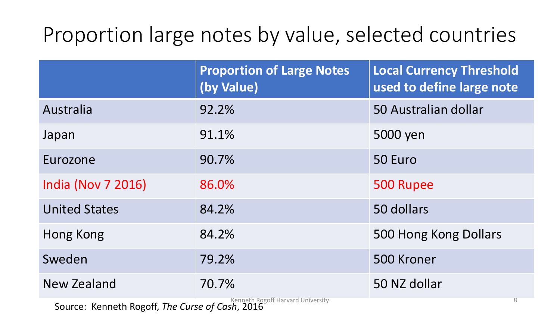### Proportion large notes by value, selected countries

|                                                                                                        | <b>Proportion of Large Notes</b><br>(by Value) | <b>Local Currency Threshold</b><br>used to define large note |
|--------------------------------------------------------------------------------------------------------|------------------------------------------------|--------------------------------------------------------------|
| Australia                                                                                              | 92.2%                                          | 50 Australian dollar                                         |
| Japan                                                                                                  | 91.1%                                          | 5000 yen                                                     |
| Eurozone                                                                                               | 90.7%                                          | 50 Euro                                                      |
| <b>India (Nov 7 2016)</b>                                                                              | 86.0%                                          | 500 Rupee                                                    |
| <b>United States</b>                                                                                   | 84.2%                                          | 50 dollars                                                   |
| Hong Kong                                                                                              | 84.2%                                          | 500 Hong Kong Dollars                                        |
| Sweden                                                                                                 | 79.2%                                          | 500 Kroner                                                   |
| <b>New Zealand</b>                                                                                     | 70.7%                                          | 50 NZ dollar                                                 |
| $\mathbf{r}$ and $\mathbf{r}$ are the set of $\mathbf{r}$ and $\mathbf{r}$ are the set of $\mathbf{r}$ | Kenneth Rogoff Harvard University              | $8\,$                                                        |

Source: Kenneth Rogoff, *The Curse of Cash*, 2016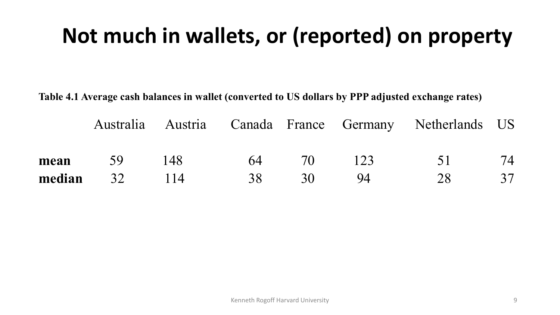### **Not much in wallets, or (reported) on property**

**Table 4.1 Average cash balances in wallet (converted to US dollars by PPP adjusted exchange rates)**

|                    |  |                                  | Australia Austria Canada France Germany Netherlands US |    |
|--------------------|--|----------------------------------|--------------------------------------------------------|----|
| <b>mean</b> 59 148 |  | 64 70 123                        | $\sim$ 51                                              | 74 |
|                    |  | <b>median</b> 32 114 38 30 94 28 |                                                        | 37 |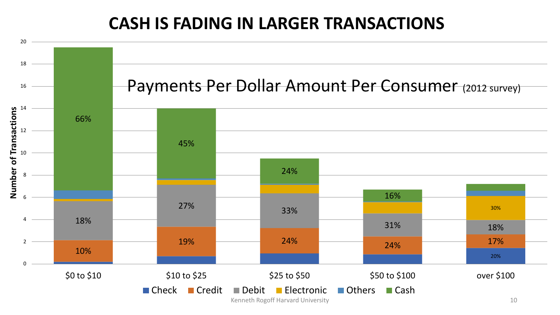#### **CASH IS FADING IN LARGER TRANSACTIONS**

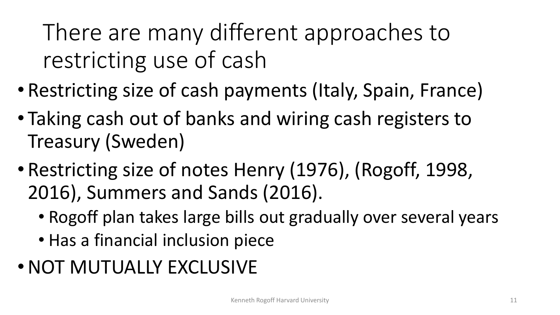There are many different approaches to restricting use of cash

- Restricting size of cash payments (Italy, Spain, France)
- Taking cash out of banks and wiring cash registers to Treasury (Sweden)
- Restricting size of notes Henry (1976), (Rogoff, 1998, 2016), Summers and Sands (2016).
	- Rogoff plan takes large bills out gradually over several years
	- Has a financial inclusion piece
- •NOT MUTUALLY EXCLUSIVE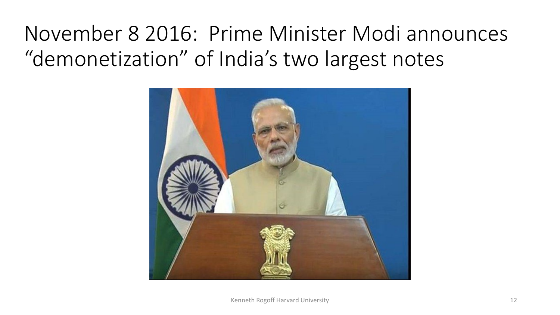### November 8 2016: Prime Minister Modi announces "demonetization" of India's two largest notes

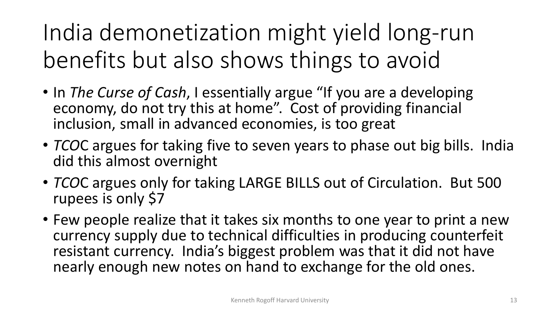India demonetization might yield long-run benefits but also shows things to avoid

- In *The Curse of Cash*, I essentially argue "If you are a developing economy, do not try this at home". Cost of providing financial inclusion, small in advanced economies, is too great
- *TCO*C argues for taking five to seven years to phase out big bills. India did this almost overnight
- *TCO*C argues only for taking LARGE BILLS out of Circulation. But 500 rupees is only \$7
- Few people realize that it takes six months to one year to print a new currency supply due to technical difficulties in producing counterfeit resistant currency. India's biggest problem was that it did not have nearly enough new notes on hand to exchange for the old ones.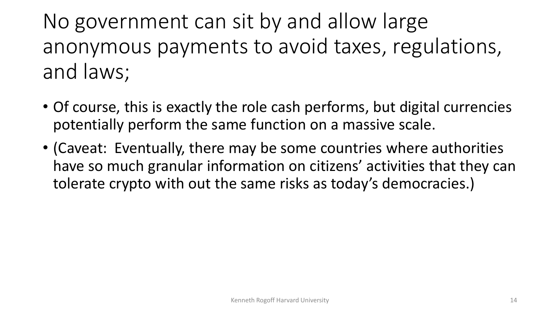No government can sit by and allow large anonymous payments to avoid taxes, regulations, and laws;

- Of course, this is exactly the role cash performs, but digital currencies potentially perform the same function on a massive scale.
- (Caveat: Eventually, there may be some countries where authorities have so much granular information on citizens' activities that they can tolerate crypto with out the same risks as today's democracies.)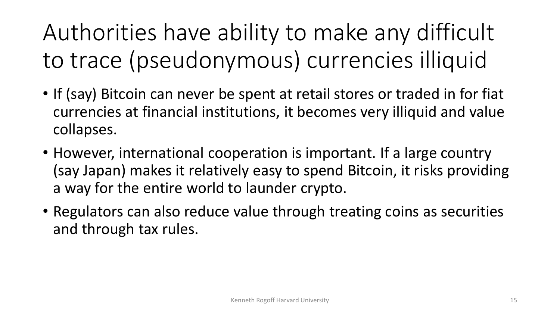Authorities have ability to make any difficult to trace (pseudonymous) currencies illiquid

- If (say) Bitcoin can never be spent at retail stores or traded in for fiat currencies at financial institutions, it becomes very illiquid and value collapses.
- However, international cooperation is important. If a large country (say Japan) makes it relatively easy to spend Bitcoin, it risks providing a way for the entire world to launder crypto.
- Regulators can also reduce value through treating coins as securities and through tax rules.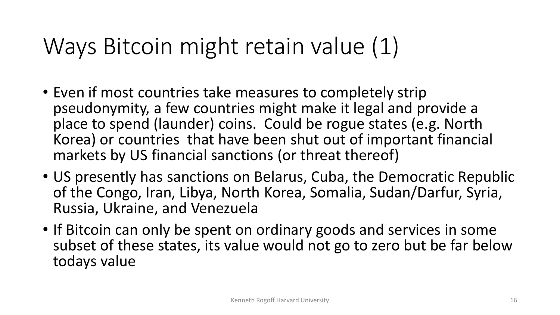# Ways Bitcoin might retain value (1)

- Even if most countries take measures to completely strip pseudonymity, a few countries might make it legal and provide a place to spend (launder) coins. Could be rogue states (e.g. North Korea) or countries that have been shut out of important financial markets by US financial sanctions (or threat thereof)
- US presently has sanctions on Belarus, Cuba, the Democratic Republic of the Congo, Iran, Libya, North Korea, Somalia, Sudan/Darfur, Syria, Russia, Ukraine, and Venezuela
- If Bitcoin can only be spent on ordinary goods and services in some subset of these states, its value would not go to zero but be far below todays value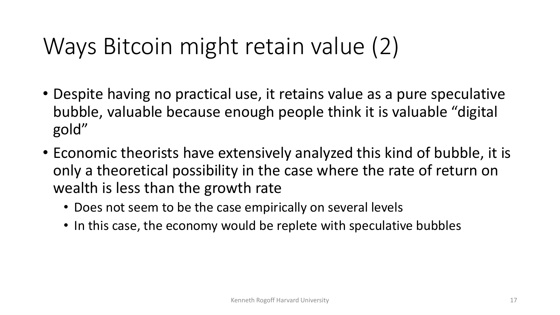# Ways Bitcoin might retain value (2)

- Despite having no practical use, it retains value as a pure speculative bubble, valuable because enough people think it is valuable "digital gold"
- Economic theorists have extensively analyzed this kind of bubble, it is only a theoretical possibility in the case where the rate of return on wealth is less than the growth rate
	- Does not seem to be the case empirically on several levels
	- In this case, the economy would be replete with speculative bubbles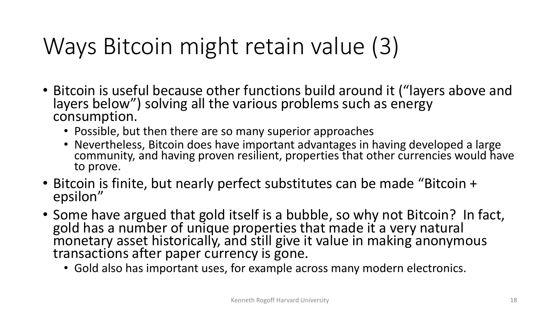# Ways Bitcoin might retain value (3)

- Bitcoin is useful because other functions build around it ("layers above and layers below") solving all the various problems such as energy consumption.
	- Possible, but then there are so many superior approaches
	- Nevertheless, Bitcoin does have important advantages in having developed a large community, and having proven resilient, properties that other currencies would have to prove.
- Bitcoin is finite, but nearly perfect substitutes can be made "Bitcoin + epsilon"
- Some have argued that gold itself is a bubble, so why not Bitcoin? In fact, gold has a number of unique properties that made it a very natural monetary asset historically, and still give it value in making anonymous transactions after paper currency is gone.
	- Gold also has important uses, for example across many modern electronics.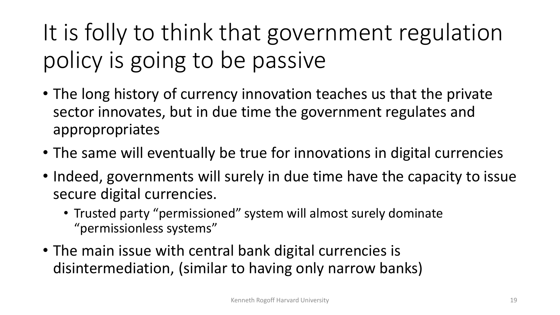# It is folly to think that government regulation policy is going to be passive

- The long history of currency innovation teaches us that the private sector innovates, but in due time the government regulates and appropropriates
- The same will eventually be true for innovations in digital currencies
- Indeed, governments will surely in due time have the capacity to issue secure digital currencies.
	- Trusted party "permissioned" system will almost surely dominate "permissionless systems"
- The main issue with central bank digital currencies is disintermediation, (similar to having only narrow banks)